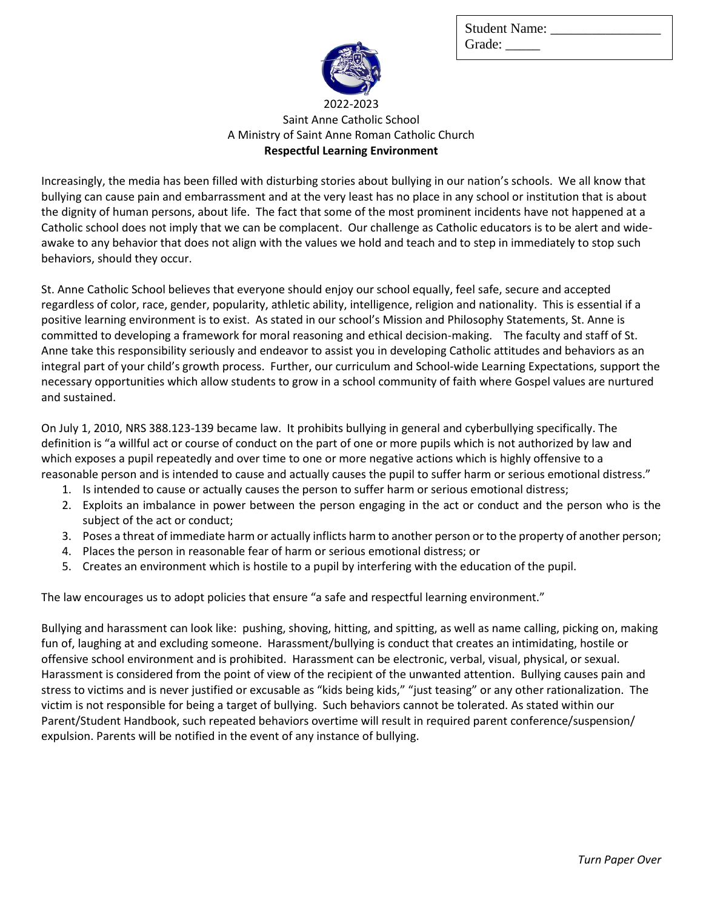Student Name: Grade:



## 2022-2023 Saint Anne Catholic School A Ministry of Saint Anne Roman Catholic Church **Respectful Learning Environment**

Increasingly, the media has been filled with disturbing stories about bullying in our nation's schools. We all know that bullying can cause pain and embarrassment and at the very least has no place in any school or institution that is about the dignity of human persons, about life. The fact that some of the most prominent incidents have not happened at a Catholic school does not imply that we can be complacent. Our challenge as Catholic educators is to be alert and wideawake to any behavior that does not align with the values we hold and teach and to step in immediately to stop such behaviors, should they occur.

St. Anne Catholic School believes that everyone should enjoy our school equally, feel safe, secure and accepted regardless of color, race, gender, popularity, athletic ability, intelligence, religion and nationality. This is essential if a positive learning environment is to exist. As stated in our school's Mission and Philosophy Statements, St. Anne is committed to developing a framework for moral reasoning and ethical decision-making. The faculty and staff of St. Anne take this responsibility seriously and endeavor to assist you in developing Catholic attitudes and behaviors as an integral part of your child's growth process. Further, our curriculum and School-wide Learning Expectations, support the necessary opportunities which allow students to grow in a school community of faith where Gospel values are nurtured and sustained.

On July 1, 2010, [NRS 388.123-139](http://www.leg.state.nv.us/nrs/NRS-388.html#NRS388Sec123) became law. It prohibits bullying in general and cyberbullying specifically. The definition is "a willful act or course of conduct on the part of one or more pupils which is not authorized by law and which exposes a pupil repeatedly and over time to one or more negative actions which is highly offensive to a reasonable person and is intended to cause and actually causes the pupil to suffer harm or serious emotional distress."

- 1. Is intended to cause or actually causes the person to suffer harm or serious emotional distress;
- 2. Exploits an imbalance in power between the person engaging in the act or conduct and the person who is the subject of the act or conduct;
- 3. Poses a threat of immediate harm or actually inflicts harm to another person or to the property of another person;
- 4. Places the person in reasonable fear of harm or serious emotional distress; or
- 5. Creates an environment which is hostile to a pupil by interfering with the education of the pupil.

The law encourages us to adopt policies that ensure "a safe and respectful learning environment."

Bullying and harassment can look like: pushing, shoving, hitting, and spitting, as well as name calling, picking on, making fun of, laughing at and excluding someone. Harassment/bullying is conduct that creates an intimidating, hostile or offensive school environment and is prohibited. Harassment can be electronic, verbal, visual, physical, or sexual. Harassment is considered from the point of view of the recipient of the unwanted attention. Bullying causes pain and stress to victims and is never justified or excusable as "kids being kids," "just teasing" or any other rationalization. The victim is not responsible for being a target of bullying. Such behaviors cannot be tolerated. As stated within our Parent/Student Handbook, such repeated behaviors overtime will result in required parent conference/suspension/ expulsion. Parents will be notified in the event of any instance of bullying.